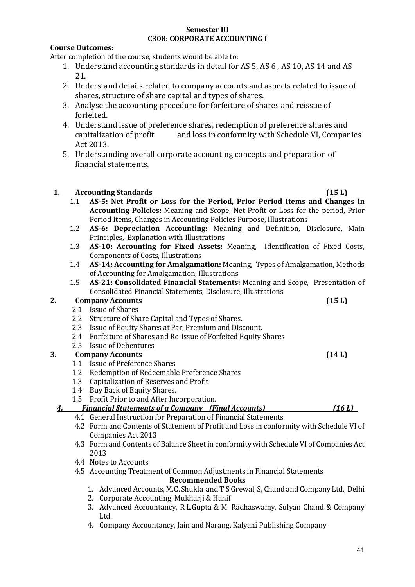#### **Semester III C308: CORPORATE ACCOUNTING I**

#### **Course Outcomes:**

After completion of the course, students would be able to:

- 1. Understand accounting standards in detail for AS 5, AS 6 , AS 10, AS 14 and AS 21.
- 2. Understand details related to company accounts and aspects related to issue of shares, structure of share capital and types of shares.
- 3. Analyse the accounting procedure for forfeiture of shares and reissue of forfeited.
- 4. Understand issue of preference shares, redemption of preference shares and capitalization of profit and loss in conformity with Schedule VI, Companies Act 2013.
- 5. Understanding overall corporate accounting concepts and preparation of financial statements.

#### **1. Accounting Standards (15 L)**

- 1.1 **AS-5: Net Profit or Loss for the Period, Prior Period Items and Changes in Accounting Policies:** Meaning and Scope, Net Profit or Loss for the period, Prior Period Items, Changes in Accounting Policies Purpose, Illustrations
- 1.2 **AS-6: Depreciation Accounting:** Meaning and Definition, Disclosure, Main Principles, Explanation with Illustrations
- 1.3 **AS-10: Accounting for Fixed Assets:** Meaning, Identification of Fixed Costs, Components of Costs, Illustrations
- 1.4 **AS-14: Accounting for Amalgamation:** Meaning, Types of Amalgamation, Methods of Accounting for Amalgamation, Illustrations
- 1.5 **AS-21: Consolidated Financial Statements:** Meaning and Scope, Presentation of Consolidated Financial Statements, Disclosure, Illustrations

### **2. Company Accounts (15 L)**

- 2.1 Issue of Shares
- 2.2 Structure of Share Capital and Types of Shares.
- 2.3 Issue of Equity Shares at Par, Premium and Discount.
- 2.4 Forfeiture of Shares and Re-issue of Forfeited Equity Shares
- 2.5 Issue of Debentures

### **3. Company Accounts (14 L)**

- 1.1 Issue of Preference Shares
- 1.2 Redemption of Redeemable Preference Shares
- 1.3 Capitalization of Reserves and Profit
- 1.4 Buy Back of Equity Shares.
- 1.5 Profit Prior to and After Incorporation.
- *4. Financial Statements of a Company (Final Accounts) (16 L)*
	- 4.1 General Instruction for Preparation of Financial Statements
	- 4.2 Form and Contents of Statement of Profit and Loss in conformity with Schedule VI of Companies Act 2013
	- 4.3 Form and Contents of Balance Sheet in conformity with Schedule VI of Companies Act 2013
	- 4.4 Notes to Accounts
	- 4.5 Accounting Treatment of Common Adjustments in Financial Statements **Recommended Books**
		- 1. Advanced Accounts, M.C. Shukla and T.S.Grewal, S, Chand and Company Ltd., Delhi
		- 2. Corporate Accounting, Mukharji & Hanif
		- 3. Advanced Accountancy, R.L.Gupta & M. Radhaswamy, Sulyan Chand & Company Ltd.
		- 4. Company Accountancy, Jain and Narang, Kalyani Publishing Company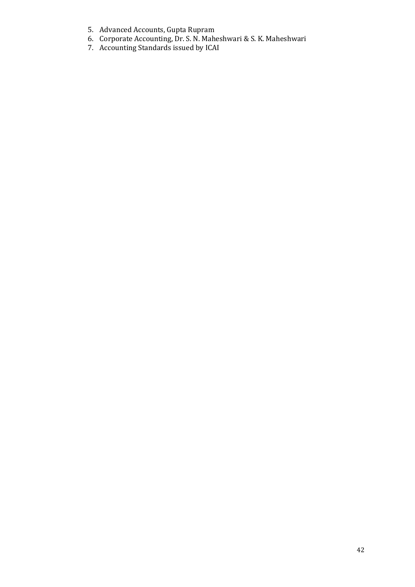- 5. Advanced Accounts, Gupta Rupram
- 6. Corporate Accounting, Dr. S. N. Maheshwari & S. K. Maheshwari
- 7. Accounting Standards issued by ICAI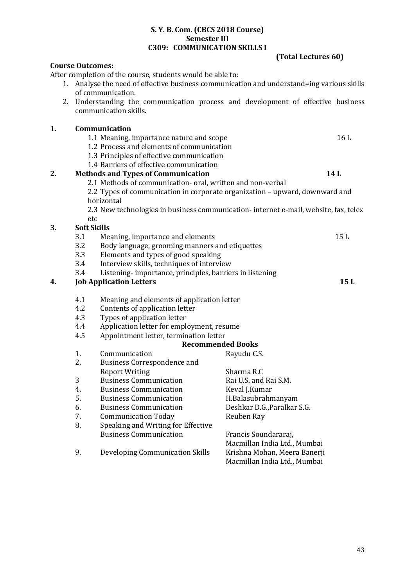|                                                  |                                                                                           | After completion of the course, students would be able to:                           |                                                              |     |
|--------------------------------------------------|-------------------------------------------------------------------------------------------|--------------------------------------------------------------------------------------|--------------------------------------------------------------|-----|
|                                                  | 1. Analyse the need of effective business communication and understand=ing various skills |                                                                                      |                                                              |     |
|                                                  |                                                                                           | of communication.                                                                    |                                                              |     |
| 2.                                               |                                                                                           | Understanding the communication process and development of effective business        |                                                              |     |
|                                                  |                                                                                           | communication skills.                                                                |                                                              |     |
| 1.                                               |                                                                                           | Communication                                                                        |                                                              |     |
|                                                  |                                                                                           | 1.1 Meaning, importance nature and scope                                             |                                                              | 16L |
|                                                  |                                                                                           | 1.2 Process and elements of communication                                            |                                                              |     |
|                                                  |                                                                                           | 1.3 Principles of effective communication                                            |                                                              |     |
|                                                  |                                                                                           | 1.4 Barriers of effective communication                                              |                                                              |     |
| 2.                                               |                                                                                           | <b>Methods and Types of Communication</b><br>14L                                     |                                                              |     |
|                                                  |                                                                                           | 2.1 Methods of communication- oral, written and non-verbal                           |                                                              |     |
|                                                  |                                                                                           | 2.2 Types of communication in corporate organization - upward, downward and          |                                                              |     |
|                                                  |                                                                                           | horizontal                                                                           |                                                              |     |
|                                                  |                                                                                           | 2.3 New technologies in business communication- internet e-mail, website, fax, telex |                                                              |     |
|                                                  | etc                                                                                       |                                                                                      |                                                              |     |
| 3.                                               | <b>Soft Skills</b>                                                                        |                                                                                      |                                                              |     |
|                                                  | 3.1                                                                                       | Meaning, importance and elements                                                     |                                                              | 15L |
|                                                  | 3.2                                                                                       | Body language, grooming manners and etiquettes                                       |                                                              |     |
|                                                  | 3.3                                                                                       | Elements and types of good speaking                                                  |                                                              |     |
|                                                  | 3.4                                                                                       | Interview skills, techniques of interview                                            |                                                              |     |
|                                                  | Listening-importance, principles, barriers in listening<br>3.4                            |                                                                                      |                                                              |     |
| 4.                                               | <b>Job Application Letters</b><br>15L                                                     |                                                                                      |                                                              |     |
|                                                  | 4.1                                                                                       | Meaning and elements of application letter                                           |                                                              |     |
| 4.2<br>Contents of application letter            |                                                                                           |                                                                                      |                                                              |     |
|                                                  | 4.3                                                                                       | Types of application letter                                                          |                                                              |     |
| 4.4<br>Application letter for employment, resume |                                                                                           |                                                                                      |                                                              |     |
|                                                  | 4.5                                                                                       | Appointment letter, termination letter                                               |                                                              |     |
|                                                  |                                                                                           |                                                                                      | <b>Recommended Books</b>                                     |     |
|                                                  | 1.                                                                                        | Communication                                                                        | Rayudu C.S.                                                  |     |
|                                                  | 2.                                                                                        | <b>Business Correspondence and</b>                                                   |                                                              |     |
|                                                  |                                                                                           | <b>Report Writing</b>                                                                | Sharma R.C                                                   |     |
|                                                  | 3                                                                                         | <b>Business Communication</b>                                                        | Rai U.S. and Rai S.M.                                        |     |
|                                                  | 4.                                                                                        | <b>Business Communication</b>                                                        | Keval J.Kumar                                                |     |
|                                                  | 5.                                                                                        | <b>Business Communication</b>                                                        | H.Balasubrahmanyam                                           |     |
|                                                  | 6.                                                                                        | <b>Business Communication</b>                                                        | Deshkar D.G., Paralkar S.G.                                  |     |
|                                                  | 7.                                                                                        | <b>Communication Today</b>                                                           | Reuben Ray                                                   |     |
|                                                  | 8.                                                                                        | Speaking and Writing for Effective                                                   |                                                              |     |
|                                                  |                                                                                           | <b>Business Communication</b>                                                        | Francis Soundararaj,                                         |     |
|                                                  |                                                                                           |                                                                                      | Macmillan India Ltd., Mumbai                                 |     |
|                                                  | 9.                                                                                        | Developing Communication Skills                                                      | Krishna Mohan, Meera Banerji<br>Macmillan India Ltd., Mumbai |     |

**S. Y. B. Com. (CBCS 2018 Course) Semester III C309: COMMUNICATION SKILLS I** 

**Course Outcomes:**

**(Total Lectures 60)**

43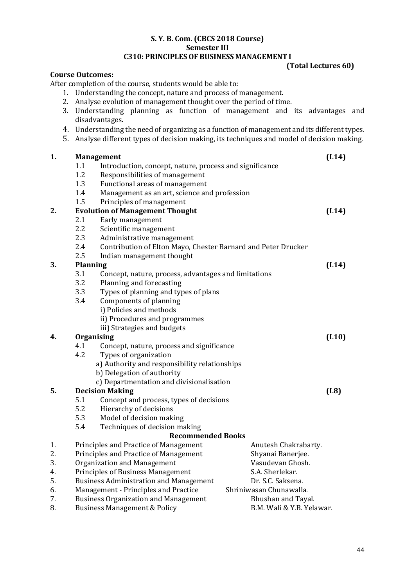# **S. Y. B. Com. (CBCS 2018 Course) Semester III**

## **C310: PRINCIPLESOF BUSINESS MANAGEMENT I**

#### **(Total Lectures 60)**

#### **Course Outcomes:**

After completion of the course, students would be able to:

- 1. Understanding the concept, nature and process of management.
- 2. Analyse evolution of management thought over the period of time.
- 3. Understanding planning as function of management and its advantages and disadvantages.
- 4. Understanding the need of organizing as a function of management and its different types.
- 5. Analyse different types of decision making, its techniques and model of decision making.

| 1. |                 | <b>Management</b>                                                    |       |  |  |
|----|-----------------|----------------------------------------------------------------------|-------|--|--|
|    | 1.1             | Introduction, concept, nature, process and significance              |       |  |  |
|    | 1.2             | Responsibilities of management                                       |       |  |  |
|    | 1.3             | Functional areas of management                                       |       |  |  |
|    | 1.4             | Management as an art, science and profession                         |       |  |  |
|    | 1.5             | Principles of management                                             |       |  |  |
| 2. |                 | <b>Evolution of Management Thought</b>                               | (L14) |  |  |
|    | 2.1             | Early management                                                     |       |  |  |
|    | 2.2             | Scientific management                                                |       |  |  |
|    | 2.3             | Administrative management                                            |       |  |  |
|    | 2.4             | Contribution of Elton Mayo, Chester Barnard and Peter Drucker        |       |  |  |
|    | 2.5             | Indian management thought                                            |       |  |  |
| 3. | <b>Planning</b> |                                                                      | (L14) |  |  |
|    | 3.1             | Concept, nature, process, advantages and limitations                 |       |  |  |
|    | 3.2             | Planning and forecasting                                             |       |  |  |
|    | 3.3             | Types of planning and types of plans                                 |       |  |  |
|    | 3.4             | Components of planning                                               |       |  |  |
|    |                 | i) Policies and methods                                              |       |  |  |
|    |                 | ii) Procedures and programmes                                        |       |  |  |
|    |                 | iii) Strategies and budgets                                          |       |  |  |
| 4. |                 | Organising                                                           |       |  |  |
|    | 4.1             | Concept, nature, process and significance                            |       |  |  |
|    | 4.2             | Types of organization                                                |       |  |  |
|    |                 | a) Authority and responsibility relationships                        |       |  |  |
|    |                 | b) Delegation of authority                                           |       |  |  |
|    |                 | c) Departmentation and divisionalisation                             |       |  |  |
| 5. |                 | <b>Decision Making</b>                                               | (L8)  |  |  |
|    | 5.1             | Concept and process, types of decisions                              |       |  |  |
|    | 5.2             | Hierarchy of decisions                                               |       |  |  |
|    | 5.3             | Model of decision making                                             |       |  |  |
|    | 5.4             | Techniques of decision making                                        |       |  |  |
|    |                 | <b>Recommended Books</b>                                             |       |  |  |
| 1. |                 | Anutesh Chakrabarty.<br>Principles and Practice of Management        |       |  |  |
| 2. |                 | Principles and Practice of Management<br>Shyanai Banerjee.           |       |  |  |
| 3. |                 | <b>Organization and Management</b><br>Vasudevan Ghosh.               |       |  |  |
| 4. |                 | S.A. Sherlekar.<br><b>Principles of Business Management</b>          |       |  |  |
| 5. |                 | Dr. S.C. Saksena.<br><b>Business Administration and Management</b>   |       |  |  |
| 6. |                 | Management - Principles and Practice<br>Shriniwasan Chunawalla.      |       |  |  |
| 7. |                 | <b>Business Organization and Management</b><br>Bhushan and Tayal.    |       |  |  |
| 8. |                 | <b>Business Management &amp; Policy</b><br>B.M. Wali & Y.B. Yelawar. |       |  |  |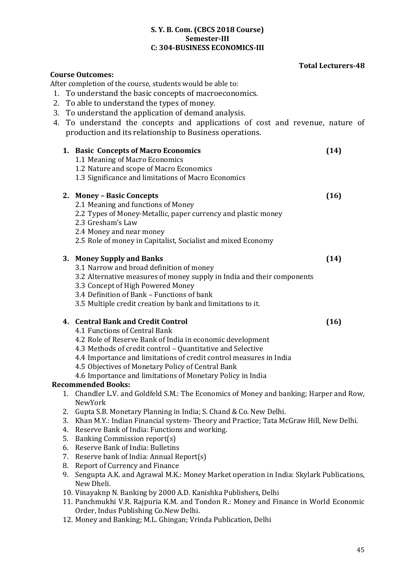#### **S. Y. B. Com. (CBCS 2018 Course) Semester-III C: 304-BUSINESS ECONOMICS-III**

#### **Total Lecturers-48**

|                                                            |                                                                                              | <b>Course Outcomes:</b>                                                                 |      |  |
|------------------------------------------------------------|----------------------------------------------------------------------------------------------|-----------------------------------------------------------------------------------------|------|--|
| After completion of the course, students would be able to: |                                                                                              |                                                                                         |      |  |
|                                                            | To understand the basic concepts of macroeconomics.<br>1.                                    |                                                                                         |      |  |
| 2.                                                         |                                                                                              | To able to understand the types of money.                                               |      |  |
|                                                            |                                                                                              | 3. To understand the application of demand analysis.                                    |      |  |
|                                                            |                                                                                              | 4. To understand the concepts and applications of cost and revenue, nature of           |      |  |
|                                                            |                                                                                              |                                                                                         |      |  |
|                                                            |                                                                                              | production and its relationship to Business operations.                                 |      |  |
|                                                            |                                                                                              | 1. Basic Concepts of Macro Economics                                                    | (14) |  |
|                                                            |                                                                                              | 1.1 Meaning of Macro Economics                                                          |      |  |
|                                                            |                                                                                              | 1.2 Nature and scope of Macro Economics                                                 |      |  |
|                                                            |                                                                                              | 1.3 Significance and limitations of Macro Economics                                     |      |  |
|                                                            |                                                                                              |                                                                                         |      |  |
|                                                            |                                                                                              | 2. Money - Basic Concepts                                                               | (16) |  |
|                                                            |                                                                                              | 2.1 Meaning and functions of Money                                                      |      |  |
|                                                            |                                                                                              | 2.2 Types of Money-Metallic, paper currency and plastic money                           |      |  |
|                                                            |                                                                                              | 2.3 Gresham's Law                                                                       |      |  |
|                                                            |                                                                                              | 2.4 Money and near money                                                                |      |  |
|                                                            |                                                                                              | 2.5 Role of money in Capitalist, Socialist and mixed Economy                            |      |  |
|                                                            |                                                                                              |                                                                                         |      |  |
|                                                            |                                                                                              | 3. Money Supply and Banks                                                               | (14) |  |
|                                                            |                                                                                              | 3.1 Narrow and broad definition of money                                                |      |  |
|                                                            |                                                                                              | 3.2 Alternative measures of money supply in India and their components                  |      |  |
|                                                            |                                                                                              | 3.3 Concept of High Powered Money                                                       |      |  |
|                                                            |                                                                                              | 3.4 Definition of Bank - Functions of bank                                              |      |  |
|                                                            |                                                                                              | 3.5 Multiple credit creation by bank and limitations to it.                             |      |  |
|                                                            |                                                                                              | 4. Central Bank and Credit Control                                                      |      |  |
|                                                            |                                                                                              | 4.1 Functions of Central Bank                                                           | (16) |  |
|                                                            |                                                                                              | 4.2 Role of Reserve Bank of India in economic development                               |      |  |
|                                                            |                                                                                              | 4.3 Methods of credit control - Quantitative and Selective                              |      |  |
|                                                            |                                                                                              | 4.4 Importance and limitations of credit control measures in India                      |      |  |
|                                                            |                                                                                              | 4.5 Objectives of Monetary Policy of Central Bank                                       |      |  |
|                                                            |                                                                                              | 4.6 Importance and limitations of Monetary Policy in India                              |      |  |
|                                                            |                                                                                              | <b>Recommended Books:</b>                                                               |      |  |
|                                                            |                                                                                              | 1. Chandler L.V. and Goldfeld S.M.: The Economics of Money and banking; Harper and Row, |      |  |
|                                                            |                                                                                              | NewYork                                                                                 |      |  |
|                                                            |                                                                                              | 2. Gupta S.B. Monetary Planning in India; S. Chand & Co. New Delhi.                     |      |  |
|                                                            | 3.                                                                                           | Khan M.Y.: Indian Financial system-Theory and Practice; Tata McGraw Hill, New Delhi.    |      |  |
|                                                            | 4.                                                                                           | Reserve Bank of India: Functions and working.                                           |      |  |
|                                                            | 5.                                                                                           | <b>Banking Commission report(s)</b>                                                     |      |  |
|                                                            | 6.                                                                                           | Reserve Bank of India: Bulletins                                                        |      |  |
|                                                            | 7.                                                                                           | Reserve bank of India: Annual Report(s)                                                 |      |  |
|                                                            | 8.                                                                                           | <b>Report of Currency and Finance</b>                                                   |      |  |
|                                                            | Sengupta A.K. and Agrawal M.K.: Money Market operation in India: Skylark Publications,<br>9. |                                                                                         |      |  |
|                                                            |                                                                                              | New Dheli.                                                                              |      |  |
|                                                            |                                                                                              | 10. Vinayaknp N. Banking by 2000 A.D. Kanishka Publishers, Delhi                        |      |  |
|                                                            | 11. Panchmukhi V.R. Rajpuria K.M. and Tondon R.: Money and Finance in World Economic         |                                                                                         |      |  |
|                                                            |                                                                                              | Order, Indus Publishing Co.New Delhi.                                                   |      |  |
|                                                            | 12. Money and Banking; M.L. Ghingan; Vrinda Publication, Delhi                               |                                                                                         |      |  |
|                                                            |                                                                                              |                                                                                         |      |  |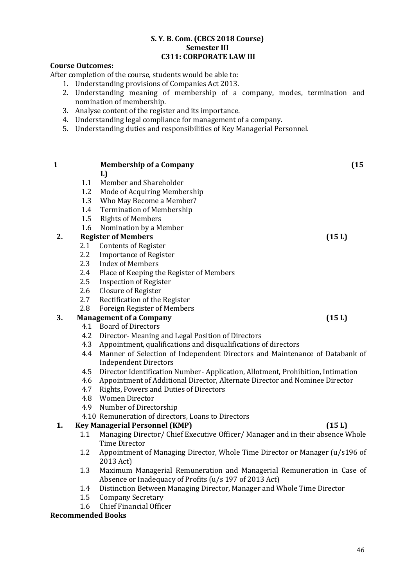#### **S. Y. B. Com. (CBCS 2018 Course) Semester III C311: CORPORATE LAW III**

#### **Course Outcomes:**

After completion of the course, students would be able to:

- 1. Understanding provisions of Companies Act 2013.
- 2. Understanding meaning of membership of a company, modes, termination and nomination of membership.
- 3. Analyse content of the register and its importance.
- 4. Understanding legal compliance for management of a company.
- 5. Understanding duties and responsibilities of Key Managerial Personnel.

| $\mathbf{1}$ |            | <b>Membership of a Company</b>                                                  | (15)  |
|--------------|------------|---------------------------------------------------------------------------------|-------|
|              | 1.1        | L)<br>Member and Shareholder                                                    |       |
|              | 1.2        |                                                                                 |       |
|              | 1.3        | Mode of Acquiring Membership                                                    |       |
|              | 1.4        | Who May Become a Member?                                                        |       |
|              |            | <b>Termination of Membership</b>                                                |       |
|              | 1.5        | <b>Rights of Members</b>                                                        |       |
| 2.           | 1.6        | Nomination by a Member<br><b>Register of Members</b>                            |       |
|              | 2.1        | <b>Contents of Register</b>                                                     | (15L) |
|              | 2.2        | <b>Importance of Register</b>                                                   |       |
|              | 2.3        | <b>Index of Members</b>                                                         |       |
|              | 2.4        |                                                                                 |       |
|              | 2.5        | Place of Keeping the Register of Members                                        |       |
|              |            | <b>Inspection of Register</b>                                                   |       |
|              | 2.6        | Closure of Register                                                             |       |
|              | 2.7<br>2.8 | Rectification of the Register                                                   |       |
| 3.           |            | Foreign Register of Members                                                     |       |
|              |            | <b>Management of a Company</b><br>4.1 Board of Directors                        | (15L) |
|              | 4.2        |                                                                                 |       |
|              |            | Director-Meaning and Legal Position of Directors                                |       |
|              | 4.3        | Appointment, qualifications and disqualifications of directors                  |       |
|              | 4.4        | Manner of Selection of Independent Directors and Maintenance of Databank of     |       |
|              |            | <b>Independent Directors</b>                                                    |       |
|              | 4.5        | Director Identification Number- Application, Allotment, Prohibition, Intimation |       |
|              | 4.6        | Appointment of Additional Director, Alternate Director and Nominee Director     |       |
|              | 4.7        | Rights, Powers and Duties of Directors                                          |       |
|              | 4.8        | <b>Women Director</b>                                                           |       |
|              | 4.9        | Number of Directorship                                                          |       |
|              |            | 4.10 Remuneration of directors, Loans to Directors                              |       |
| 1.           |            | <b>Key Managerial Personnel (KMP)</b>                                           | (15L) |
|              | 1.1        | Managing Director/ Chief Executive Officer/ Manager and in their absence Whole  |       |
|              |            | Time Director                                                                   |       |
|              | 1.2        | Appointment of Managing Director, Whole Time Director or Manager (u/s196 of     |       |
|              |            | 2013 Act)                                                                       |       |
|              | 1.3        | Maximum Managerial Remuneration and Managerial Remuneration in Case of          |       |
|              |            | Absence or Inadequacy of Profits (u/s 197 of 2013 Act)                          |       |
|              | 1.4        | Distinction Between Managing Director, Manager and Whole Time Director          |       |
|              | 1.5        | <b>Company Secretary</b>                                                        |       |
|              | 1.6        | Chief Financial Officer                                                         |       |

#### **Recommended Books**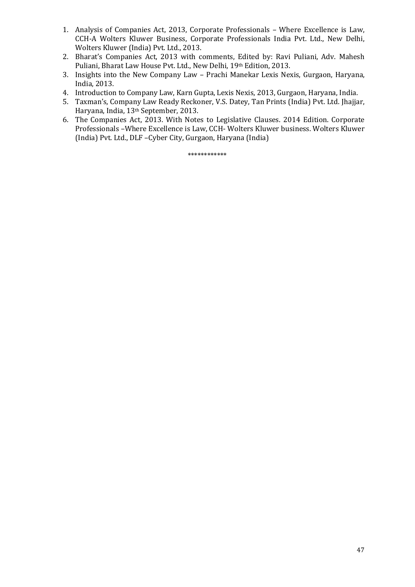- 1. Analysis of Companies Act, 2013, Corporate Professionals Where Excellence is Law, CCH-A Wolters Kluwer Business, Corporate Professionals India Pvt. Ltd., New Delhi, Wolters Kluwer (India) Pvt. Ltd., 2013.
- 2. Bharat's Companies Act, 2013 with comments, Edited by: Ravi Puliani, Adv. Mahesh Puliani, Bharat Law House Pvt. Ltd., New Delhi, 19th Edition, 2013.
- 3. Insights into the New Company Law Prachi Manekar Lexis Nexis, Gurgaon, Haryana, India, 2013.
- 4. Introduction to Company Law, Karn Gupta, Lexis Nexis, 2013, Gurgaon, Haryana, India.
- 5. Taxman's, Company Law Ready Reckoner, V.S. Datey, Tan Prints (India) Pvt. Ltd. Jhajjar, Haryana, India, 13th September, 2013.
- 6. The Companies Act, 2013. With Notes to Legislative Clauses. 2014 Edition. Corporate Professionals –Where Excellence is Law, CCH- Wolters Kluwer business. Wolters Kluwer (India) Pvt. Ltd., DLF –Cyber City, Gurgaon, Haryana (India)

\*\*\*\*\*\*\*\*\*\*\*\*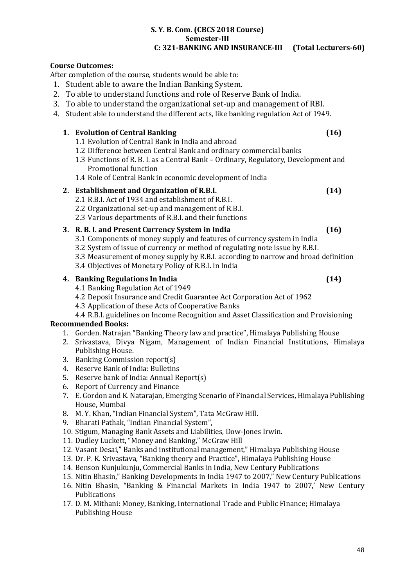#### **S. Y. B. Com. (CBCS 2018 Course) Semester-III C: 321-BANKING AND INSURANCE-III (Total Lecturers-60)**

### **Course Outcomes:**

After completion of the course, students would be able to:

- 1. Student able to aware the Indian Banking System.
- 2. To able to understand functions and role of Reserve Bank of India.
- 3. To able to understand the organizational set-up and management of RBI.
- 4. Student able to understand the different acts, like banking regulation Act of 1949.

#### **1. Evolution of Central Banking (16)**

- 1.1 Evolution of Central Bank in India and abroad
- 1.2 Difference between Central Bank and ordinary commercial banks
- 1.3 Functions of R. B. I. as a Central Bank Ordinary, Regulatory, Development and Promotional function
- 1.4 Role of Central Bank in economic development of India

#### **2. Establishment and Organization of R.B.I. (14)**

- 2.1 R.B.I. Act of 1934 and establishment of R.B.I.
- 2.2 Organizational set-up and management of R.B.I.
- 2.3 Various departments of R.B.I. and their functions

#### **3. R. B. I. and Present Currency System in India (16)**

- 3.1 Components of money supply and features of currency system in India
- 3.2 System of issue of currency or method of regulating note issue by R.B.I.
- 3.3 Measurement of money supply by R.B.I. according to narrow and broad definition
- 3.4 Objectives of Monetary Policy of R.B.I. in India

#### **4. Banking Regulations In India (14)**

- 4.1 Banking Regulation Act of 1949
- 4.2 Deposit Insurance and Credit Guarantee Act Corporation Act of 1962
- 4.3 Application of these Acts of Cooperative Banks

### 4.4 R.B.I. guidelines on Income Recognition and Asset Classification and Provisioning

#### **Recommended Books:**

- 1. Gorden. Natrajan "Banking Theory law and practice", Himalaya Publishing House
- 2. Srivastava, Divya Nigam, Management of Indian Financial Institutions, Himalaya Publishing House.
- 3. Banking Commission report(s)
- 4. Reserve Bank of India: Bulletins
- 5. Reserve bank of India: Annual Report(s)
- 6. Report of Currency and Finance
- 7. E. Gordon and K. Natarajan, Emerging Scenario of Financial Services, Himalaya Publishing House, Mumbai
- 8. M. Y. Khan, "Indian Financial System", Tata McGraw Hill.
- 9. Bharati Pathak, "Indian Financial System",
- 10. Stigum, Managing Bank Assets and Liabilities, Dow-Jones Irwin.
- 11. Dudley Luckett, "Money and Banking," McGraw Hill
- 12. Vasant Desai," Banks and institutional management," Himalaya Publishing House
- 13. Dr. P. K. Srivastava, "Banking theory and Practice", Himalaya Publishing House
- 14. Benson Kunjukunju, Commercial Banks in India, New Century Publications
- 15. Nitin Bhasin," Banking Developments in India 1947 to 2007," New Century Publications
- 16. Nitin Bhasin, "Banking & Financial Markets in India 1947 to 2007,' New Century Publications
- 17. D. M. Mithani: Money, Banking, International Trade and Public Finance; Himalaya Publishing House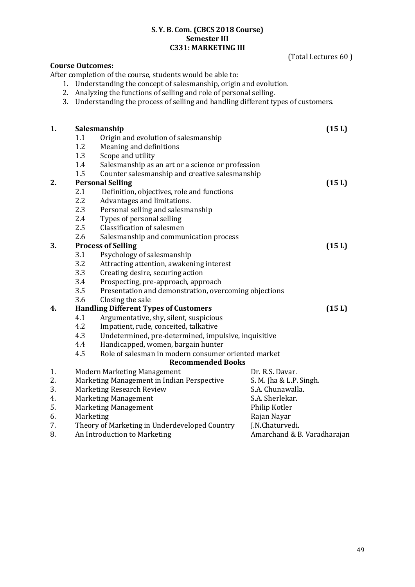#### **S. Y. B. Com. (CBCS 2018 Course) Semester III C331: MARKETING III**

|                                                             |     |                                                                                 | (Total Lectures 60)         |
|-------------------------------------------------------------|-----|---------------------------------------------------------------------------------|-----------------------------|
|                                                             |     | <b>Course Outcomes:</b>                                                         |                             |
|                                                             |     | After completion of the course, students would be able to:                      |                             |
|                                                             |     | 1. Understanding the concept of salesmanship, origin and evolution.             |                             |
|                                                             |     | 2. Analyzing the functions of selling and role of personal selling.             |                             |
|                                                             | 3.  | Understanding the process of selling and handling different types of customers. |                             |
|                                                             |     |                                                                                 |                             |
| 1.                                                          |     | Salesmanship                                                                    | (15 L)                      |
|                                                             | 1.1 | Origin and evolution of salesmanship                                            |                             |
|                                                             | 1.2 | Meaning and definitions                                                         |                             |
|                                                             | 1.3 | Scope and utility                                                               |                             |
|                                                             | 1.4 | Salesmanship as an art or a science or profession                               |                             |
|                                                             | 1.5 | Counter salesmanship and creative salesmanship                                  |                             |
| 2.                                                          |     | <b>Personal Selling</b>                                                         | (15L)                       |
|                                                             | 2.1 | Definition, objectives, role and functions                                      |                             |
|                                                             | 2.2 | Advantages and limitations.                                                     |                             |
|                                                             | 2.3 | Personal selling and salesmanship                                               |                             |
|                                                             | 2.4 | Types of personal selling                                                       |                             |
|                                                             | 2.5 | Classification of salesmen                                                      |                             |
|                                                             | 2.6 | Salesmanship and communication process                                          |                             |
| 3.                                                          |     | <b>Process of Selling</b>                                                       | (15L)                       |
|                                                             | 3.1 | Psychology of salesmanship                                                      |                             |
|                                                             | 3.2 | Attracting attention, awakening interest                                        |                             |
|                                                             | 3.3 | Creating desire, securing action                                                |                             |
|                                                             | 3.4 | Prospecting, pre-approach, approach                                             |                             |
|                                                             | 3.5 | Presentation and demonstration, overcoming objections                           |                             |
|                                                             | 3.6 | Closing the sale                                                                |                             |
| 4.                                                          |     | <b>Handling Different Types of Customers</b>                                    | (15L)                       |
|                                                             | 4.1 | Argumentative, shy, silent, suspicious                                          |                             |
|                                                             | 4.2 | Impatient, rude, conceited, talkative                                           |                             |
| 4.3<br>Undetermined, pre-determined, impulsive, inquisitive |     |                                                                                 |                             |
|                                                             | 4.4 | Handicapped, women, bargain hunter                                              |                             |
|                                                             | 4.5 | Role of salesman in modern consumer oriented market                             |                             |
|                                                             |     | <b>Recommended Books</b>                                                        |                             |
| 1.                                                          |     | <b>Modern Marketing Management</b>                                              | Dr. R.S. Davar.             |
| 2.                                                          |     | Marketing Management in Indian Perspective                                      | S. M. Jha & L.P. Singh.     |
| 3.                                                          |     | Marketing Research Review                                                       | S.A. Chunawalla.            |
| 4.                                                          |     | <b>Marketing Management</b>                                                     | S.A. Sherlekar.             |
| 5.                                                          |     | <b>Marketing Management</b>                                                     | Philip Kotler               |
| 6.                                                          |     | Marketing                                                                       | Rajan Nayar                 |
| 7.                                                          |     | Theory of Marketing in Underdeveloped Country                                   | J.N.Chaturvedi.             |
| 8.                                                          |     | An Introduction to Marketing                                                    | Amarchand & B. Varadharajan |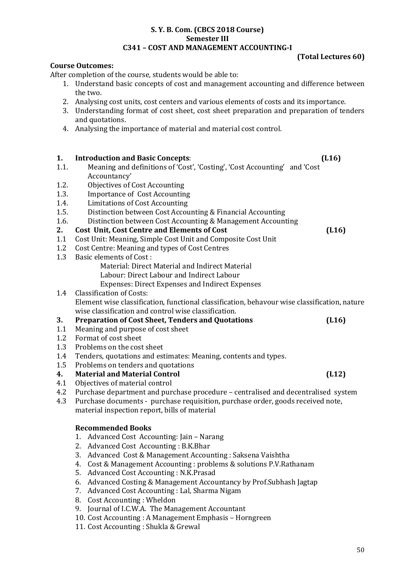#### **S. Y. B. Com. (CBCS 2018 Course) Semester III C341 – COST AND MANAGEMENT ACCOUNTING-I**

**Course Outcomes:**

**(Total Lectures 60)**

#### After completion of the course, students would be able to: 1. Understand basic concepts of cost and management accounting and difference between the two. 2. Analysing cost units, cost centers and various elements of costs and its importance. 3. Understanding format of cost sheet, cost sheet preparation and preparation of tenders and quotations. 4. Analysing the importance of material and material cost control. **1. Introduction and Basic Concepts**: **(L16)** 1.1. Meaning and definitions of 'Cost', 'Costing', 'Cost Accounting' and 'Cost Accountancy' 1.2. Objectives of Cost Accounting 1.3. Importance of Cost Accounting 1.4. Limitations of Cost Accounting 1.5. Distinction between Cost Accounting & Financial Accounting 1.6. Distinction between Cost Accounting & Management Accounting **2. Cost Unit, Cost Centre and Elements of Cost (L16)** 1.1 Cost Unit: Meaning, Simple Cost Unit and Composite Cost Unit 1.2 Cost Centre: Meaning and types of Cost Centres 1.3 Basic elements of Cost : Material: Direct Material and Indirect Material Labour: Direct Labour and Indirect Labour Expenses: Direct Expenses and Indirect Expenses 1.4 Classification of Costs: Element wise classification, functional classification, behavour wise classification, nature wise classification and control wise classification. **3. Preparation of Cost Sheet, Tenders and Quotations (L16)** 1.1 Meaning and purpose of cost sheet 1.2 Format of cost sheet 1.3 Problems on the cost sheet 1.4 Tenders, quotations and estimates: Meaning, contents and types. 1.5 Problems on tenders and quotations **4. Material and Material Control (L12)** 4.1 Objectives of material control 4.2 Purchase department and purchase procedure – centralised and decentralised system 4.3 Purchase documents - purchase requisition, purchase order, goods received note, material inspection report, bills of material **Recommended Books** 1. Advanced Cost Accounting: Jain – Narang 2. Advanced Cost Accounting : B.K.Bhar 3. Advanced Cost & Management Accounting : Saksena Vaishtha 4. Cost & Management Accounting : problems & solutions P.V.Rathanam 5. Advanced Cost Accounting : N.K.Prasad 6. Advanced Costing & Management Accountancy by Prof.Subhash Jagtap 7. Advanced Cost Accounting : Lal, Sharma Nigam 8. Cost Accounting : Wheldon 9. Journal of I.C.W.A. The Management Accountant

- 
- 10. Cost Accounting : A Management Emphasis Horngreen
- 11. Cost Accounting : Shukla & Grewal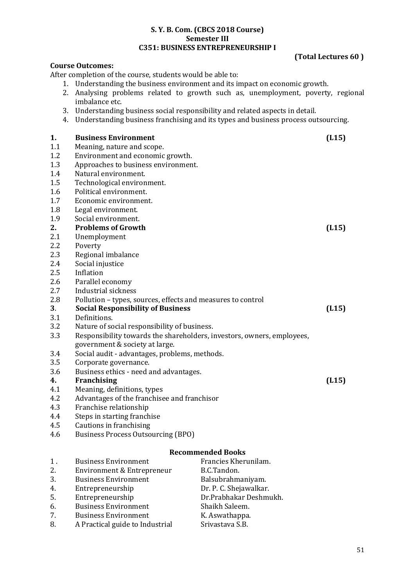#### **S. Y. B. Com. (CBCS 2018 Course) Semester III C351: BUSINESS ENTREPRENEURSHIP I**

#### **Course Outcomes:**

After completion of the course, students would be able to:

- 1. Understanding the business environment and its impact on economic growth.
- 2. Analysing problems related to growth such as, unemployment, poverty, regional imbalance etc.
- 3. Understanding business social responsibility and related aspects in detail.
- 4. Understanding business franchising and its types and business process outsourcing.

# **1. Business Environment (L15)**

- 1.1 Meaning, nature and scope.
- 1.2 Environment and economic growth.
- 1.3 Approaches to business environment.
- 1.4 Natural environment.
- 1.5 Technological environment.
- 1.6 Political environment.
- 1.7 Economic environment.
- 1.8 Legal environment.
- 1.9 Social environment.

#### **2. Problems of Growth (L15)**

- 2.1 Unemployment
- 2.2 Poverty
- 2.3 Regional imbalance
- 2.4 Social injustice
- 2.5 Inflation
- 2.6 Parallel economy
- 2.7 Industrial sickness
- 2.8 Pollution types, sources, effects and measures to control

#### **3**. **Social Responsibility of Business (L15)**

- 3.1 Definitions.
- 3.2 Nature of social responsibility of business.
- 3.3 Responsibility towards the shareholders, investors, owners, employees, government & society at large.
- 3.4 Social audit advantages, problems, methods.
- 3.5 Corporate governance.
- 3.6 Business ethics need and advantages.

#### **4. Franchising (L15)**

- 4.1 Meaning, definitions, types
- 4.2 Advantages of the franchisee and franchisor
- 4.3 Franchise relationship
- 4.4 Steps in starting franchise
- 4.5 Cautions in franchising
- 4.6 Business Process Outsourcing (BPO)

#### **Recommended Books**

1. Business Environment Francies Kherunilam. 2. Environment & Entrepreneur B.C.Tandon. 3. Business Environment Balsubrahmaniyam. 4. Entrepreneurship Dr. P. C. Shejawalkar. 5. Entrepreneurship Dr.Prabhakar Deshmukh. 6. Business Environment Shaikh Saleem. 7. Business Environment K. Aswathappa. 8. A Practical guide to Industrial Srivastava S.B.

**(Total Lectures 60 )**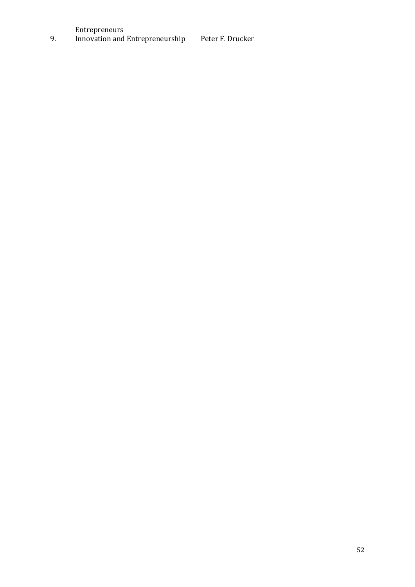Entrepreneurs

9. Innovation and Entrepreneurship Peter F. Drucker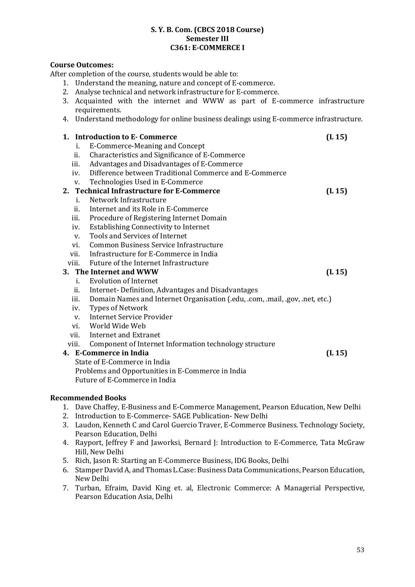#### **S. Y. B. Com. (CBCS 2018 Course) Semester III C361: E-COMMERCE I**

#### **Course Outcomes:**

After completion of the course, students would be able to:

- 1. Understand the meaning, nature and concept of E-commerce.
- 2. Analyse technical and network infrastructure for E-commerce.
- 3. Acquainted with the internet and WWW as part of E-commerce infrastructure requirements.
- 4. Understand methodology for online business dealings using E-commerce infrastructure.

#### **1. Introduction to E- Commerce (L 15)** i. E-Commerce-Meaning and Concept ii. Characteristics and Significance of E-Commerce iii. Advantages and Disadvantages of E-Commerce iv. Difference between Traditional Commerce and E-Commerce v. Technologies Used in E-Commerce **2. Technical Infrastructure for E-Commerce (L 15)** i. Network Infrastructure ii. Internet and its Role in E-Commerce iii. Procedure of Registering Internet Domain iv. Establishing Connectivity to Internet v. Tools and Services of Internet vi. Common Business Service Infrastructure vii. Infrastructure for E-Commerce in India viii. Future of the Internet Infrastructure **3. The Internet and WWW (L 15)** i. Evolution of Internet ii. Internet- Definition, Advantages and Disadvantages iii. Domain Names and Internet Organisation (.edu, .com, .mail, .gov, .net, etc.) iv. Types of Network v. Internet Service Provider vi. World Wide Web vii. Internet and Extranet viii. Component of Internet Information technology structure **4. E-Commerce in India (L 15)** State of E-Commerce in India Problems and Opportunities in E-Commerce in India Future of E-Commerce in India

#### **Recommended Books**

- 1. Dave Chaffey, E-Business and E-Commerce Management, Pearson Education, New Delhi
- 2. Introduction to E-Commerce- SAGE Publication- New Delhi
- 3. Laudon, Kenneth C and Carol Guercio Traver, E-Commerce Business. Technology Society, Pearson Education, Delhi
- 4. Rayport, Jeffrey F and Jaworksi, Bernard J: Introduction to E-Commerce, Tata McGraw Hill, New Delhi
- 5. Rich, Jason R: Starting an E-Commerce Business, IDG Books, Delhi
- 6. Stamper David A, and Thomas L.Case: Business Data Communications, Pearson Education, New Delhi
- 7. Turban, Efraim, David King et. al, Electronic Commerce: A Managerial Perspective, Pearson Education Asia, Delhi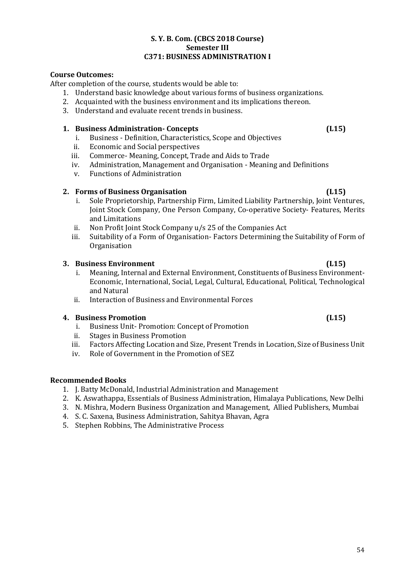# **4. Business Promotion (L15)**

- i. Business Unit- Promotion: Concept of Promotion
- ii. Stages in Business Promotion
- iii. Factors Affecting Location and Size, Present Trends in Location, Size of Business Unit
- iv. Role of Government in the Promotion of SEZ

# **Recommended Books**

- 1. J. Batty McDonald, Industrial Administration and Management
- 2. K. Aswathappa, Essentials of Business Administration, Himalaya Publications, New Delhi
- 3. N. Mishra, Modern Business Organization and Management, Allied Publishers, Mumbai
- 4. S. C. Saxena, Business Administration, Sahitya Bhavan, Agra
- 5. Stephen Robbins, The Administrative Process

# **C371: BUSINESS ADMINISTRATION I**

# **Course Outcomes:**

After completion of the course, students would be able to:

1. Understand basic knowledge about various forms of business organizations.

**S. Y. B. Com. (CBCS 2018 Course) Semester III**

- 2. Acquainted with the business environment and its implications thereon.
- 3. Understand and evaluate recent trends in business.

# **1. Business Administration- Concepts (L15)**

- i. Business Definition, Characteristics, Scope and Objectives
- ii. Economic and Social perspectives
- iii. Commerce- Meaning, Concept, Trade and Aids to Trade
- iv. Administration, Management and Organisation Meaning and Definitions
- v. Functions of Administration

# **2. Forms of Business Organisation (L15)**

- i. Sole Proprietorship, Partnership Firm, Limited Liability Partnership, Joint Ventures, Joint Stock Company, One Person Company, Co-operative Society- Features, Merits and Limitations
- ii. Non Profit Joint Stock Company u/s 25 of the Companies Act
- iii. Suitability of a Form of Organisation- Factors Determining the Suitability of Form of **Organisation**

# **3. Business Environment (L15)**

- i. Meaning, Internal and External Environment, Constituents of Business Environment-Economic, International, Social, Legal, Cultural, Educational, Political, Technological and Natural
- ii. Interaction of Business and Environmental Forces

54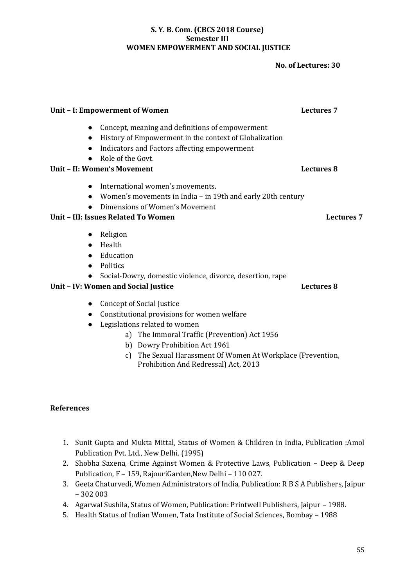#### **S. Y. B. Com. (CBCS 2018 Course) Semester III WOMEN EMPOWERMENT AND SOCIAL JUSTICE**

#### **No. of Lectures: 30**

# ● Concept, meaning and definitions of empowerment ● History of Empowerment in the context of Globalization ● Indicators and Factors affecting empowerment ● Role of the Govt. **Unit – II: Women's Movement Lectures 8** ● International women's movements. ● Women's movements in India – in 19th and early 20th century ● Dimensions of Women's Movement **Unit – III: Issues Related To Women Lectures 7** ● Religion ● Health ● Education ● Politics ● Social-Dowry, domestic violence, divorce, desertion, rape **Unit – IV: Women and Social Justice Lectures 8**

- Concept of Social Justice
- Constitutional provisions for women welfare
- Legislations related to women
	- a) The Immoral Traffic (Prevention) Act 1956
	- b) Dowry Prohibition Act 1961
	- c) The Sexual Harassment Of Women At Workplace (Prevention, Prohibition And Redressal) Act, 2013

#### **References**

- 1. Sunit Gupta and Mukta Mittal, Status of Women & Children in India, Publication :Amol Publication Pvt. Ltd., New Delhi. (1995)
- 2. Shobha Saxena, Crime Against Women & Protective Laws, Publication Deep & Deep Publication, F – 159, RajouriGarden,New Delhi – 110 027.
- 3. Geeta Chaturvedi, Women Administrators of India, Publication: R B S A Publishers, Jaipur – 302 003
- 4. Agarwal Sushila, Status of Women, Publication: Printwell Publishers, Jaipur 1988.
- 5. Health Status of Indian Women, Tata Institute of Social Sciences, Bombay 1988

# **Unit – I: Empowerment of Women Lectures 7**